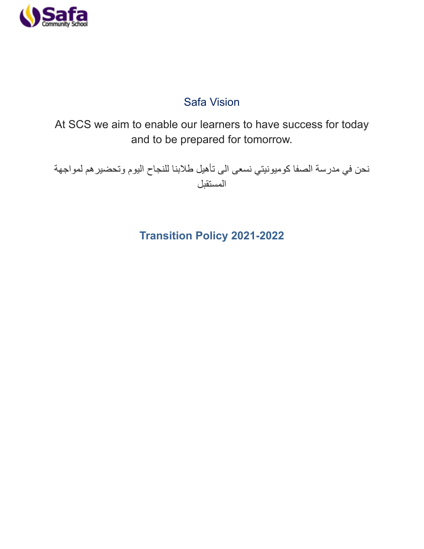

# Safa Vision

At SCS we aim to enable our learners to have success for today and to be prepared for tomorrow.

نحن في مدرسة الصفا كوميونيتي نسعى الى تأهيل طالبنا للنجاح اليوم وتحضيرهم لمواجهة المستقبل

# **Transition Policy 2021-2022**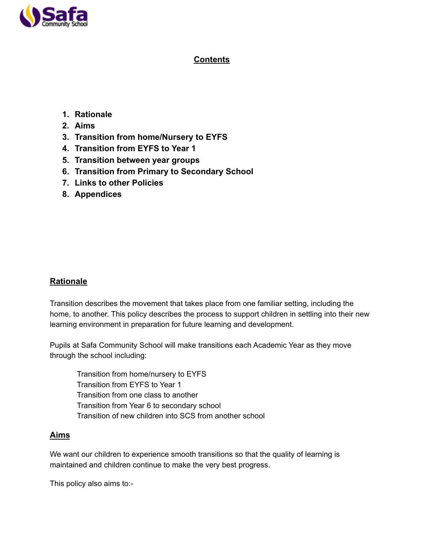

# **Contents**

# **1. Rationale**

- **2. Aims**
- **3. Transition from home/Nursery to EYFS**
- **4. Transition from EYFS to Year 1**
- **5. Transition between year groups**
- **6. Transition from Primary to Secondary School**
- **7. Links to other Policies**
- **8. Appendices**

# **Rationale**

Transition describes the movement that takes place from one familiar setting, including the home, to another. This policy describes the process to support children in settling into their new learning environment in preparation for future learning and development.

Pupils at Safa Community School will make transitions each Academic Year as they move through the school including:

Transition from home/nursery to EYFS Transition from EYFS to Year 1 Transition from one class to another Transition from Year 6 to secondary school Transition of new children into SCS from another school

# **Aims**

We want our children to experience smooth transitions so that the quality of learning is maintained and children continue to make the very best progress.

This policy also aims to:-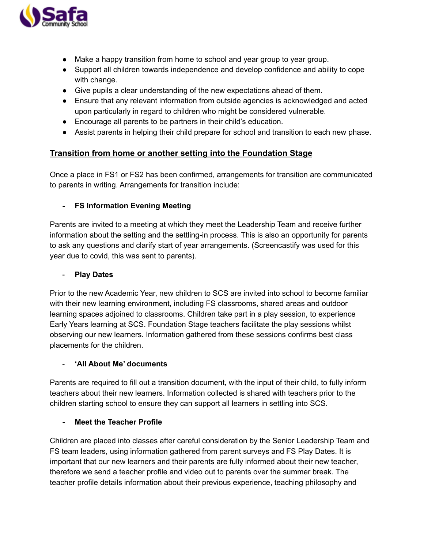

- Make a happy transition from home to school and year group to year group.
- Support all children towards independence and develop confidence and ability to cope with change.
- Give pupils a clear understanding of the new expectations ahead of them.
- Ensure that any relevant information from outside agencies is acknowledged and acted upon particularly in regard to children who might be considered vulnerable.
- Encourage all parents to be partners in their child's education.
- Assist parents in helping their child prepare for school and transition to each new phase.

### **Transition from home or another setting into the Foundation Stage**

Once a place in FS1 or FS2 has been confirmed, arrangements for transition are communicated to parents in writing. Arrangements for transition include:

#### **- FS Information Evening Meeting**

Parents are invited to a meeting at which they meet the Leadership Team and receive further information about the setting and the settling-in process. This is also an opportunity for parents to ask any questions and clarify start of year arrangements. (Screencastify was used for this year due to covid, this was sent to parents).

#### - **Play Dates**

Prior to the new Academic Year, new children to SCS are invited into school to become familiar with their new learning environment, including FS classrooms, shared areas and outdoor learning spaces adjoined to classrooms. Children take part in a play session, to experience Early Years learning at SCS. Foundation Stage teachers facilitate the play sessions whilst observing our new learners. Information gathered from these sessions confirms best class placements for the children.

#### - **'All About Me' documents**

Parents are required to fill out a transition document, with the input of their child, to fully inform teachers about their new learners. Information collected is shared with teachers prior to the children starting school to ensure they can support all learners in settling into SCS.

#### **- Meet the Teacher Profile**

Children are placed into classes after careful consideration by the Senior Leadership Team and FS team leaders, using information gathered from parent surveys and FS Play Dates. It is important that our new learners and their parents are fully informed about their new teacher, therefore we send a teacher profile and video out to parents over the summer break. The teacher profile details information about their previous experience, teaching philosophy and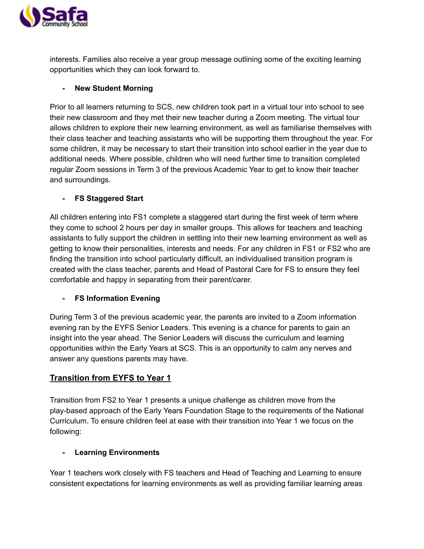

interests. Families also receive a year group message outlining some of the exciting learning opportunities which they can look forward to.

## **- New Student Morning**

Prior to all learners returning to SCS, new children took part in a virtual tour into school to see their new classroom and they met their new teacher during a Zoom meeting. The virtual tour allows children to explore their new learning environment, as well as familiarise themselves with their class teacher and teaching assistants who will be supporting them throughout the year. For some children, it may be necessary to start their transition into school earlier in the year due to additional needs. Where possible, children who will need further time to transition completed regular Zoom sessions in Term 3 of the previous Academic Year to get to know their teacher and surroundings.

## **- FS Staggered Start**

All children entering into FS1 complete a staggered start during the first week of term where they come to school 2 hours per day in smaller groups. This allows for teachers and teaching assistants to fully support the children in settling into their new learning environment as well as getting to know their personalities, interests and needs. For any children in FS1 or FS2 who are finding the transition into school particularly difficult, an individualised transition program is created with the class teacher, parents and Head of Pastoral Care for FS to ensure they feel comfortable and happy in separating from their parent/carer.

### **- FS Information Evening**

During Term 3 of the previous academic year, the parents are invited to a Zoom information evening ran by the EYFS Senior Leaders. This evening is a chance for parents to gain an insight into the year ahead. The Senior Leaders will discuss the curriculum and learning opportunities within the Early Years at SCS. This is an opportunity to calm any nerves and answer any questions parents may have.

# **Transition from EYFS to Year 1**

Transition from FS2 to Year 1 presents a unique challenge as children move from the play-based approach of the Early Years Foundation Stage to the requirements of the National Curriculum. To ensure children feel at ease with their transition into Year 1 we focus on the following:

### **- Learning Environments**

Year 1 teachers work closely with FS teachers and Head of Teaching and Learning to ensure consistent expectations for learning environments as well as providing familiar learning areas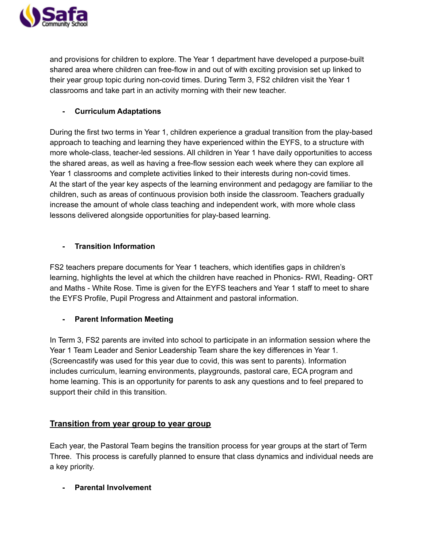

and provisions for children to explore. The Year 1 department have developed a purpose-built shared area where children can free-flow in and out of with exciting provision set up linked to their year group topic during non-covid times. During Term 3, FS2 children visit the Year 1 classrooms and take part in an activity morning with their new teacher.

#### **- Curriculum Adaptations**

During the first two terms in Year 1, children experience a gradual transition from the play-based approach to teaching and learning they have experienced within the EYFS, to a structure with more whole-class, teacher-led sessions. All children in Year 1 have daily opportunities to access the shared areas, as well as having a free-flow session each week where they can explore all Year 1 classrooms and complete activities linked to their interests during non-covid times. At the start of the year key aspects of the learning environment and pedagogy are familiar to the children, such as areas of continuous provision both inside the classroom. Teachers gradually increase the amount of whole class teaching and independent work, with more whole class lessons delivered alongside opportunities for play-based learning.

#### **- Transition Information**

FS2 teachers prepare documents for Year 1 teachers, which identifies gaps in children's learning, highlights the level at which the children have reached in Phonics- RWI, Reading- ORT and Maths - White Rose. Time is given for the EYFS teachers and Year 1 staff to meet to share the EYFS Profile, Pupil Progress and Attainment and pastoral information.

### **- Parent Information Meeting**

In Term 3, FS2 parents are invited into school to participate in an information session where the Year 1 Team Leader and Senior Leadership Team share the key differences in Year 1. (Screencastify was used for this year due to covid, this was sent to parents). Information includes curriculum, learning environments, playgrounds, pastoral care, ECA program and home learning. This is an opportunity for parents to ask any questions and to feel prepared to support their child in this transition.

### **Transition from year group to year group**

Each year, the Pastoral Team begins the transition process for year groups at the start of Term Three. This process is carefully planned to ensure that class dynamics and individual needs are a key priority.

**- Parental Involvement**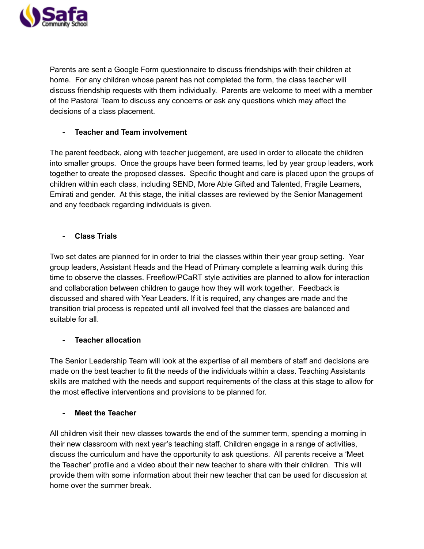

Parents are sent a Google Form questionnaire to discuss friendships with their children at home. For any children whose parent has not completed the form, the class teacher will discuss friendship requests with them individually. Parents are welcome to meet with a member of the Pastoral Team to discuss any concerns or ask any questions which may affect the decisions of a class placement.

### **- Teacher and Team involvement**

The parent feedback, along with teacher judgement, are used in order to allocate the children into smaller groups. Once the groups have been formed teams, led by year group leaders, work together to create the proposed classes. Specific thought and care is placed upon the groups of children within each class, including SEND, More Able Gifted and Talented, Fragile Learners, Emirati and gender. At this stage, the initial classes are reviewed by the Senior Management and any feedback regarding individuals is given.

### **- Class Trials**

Two set dates are planned for in order to trial the classes within their year group setting. Year group leaders, Assistant Heads and the Head of Primary complete a learning walk during this time to observe the classes. Freeflow/PCaRT style activities are planned to allow for interaction and collaboration between children to gauge how they will work together. Feedback is discussed and shared with Year Leaders. If it is required, any changes are made and the transition trial process is repeated until all involved feel that the classes are balanced and suitable for all.

### **- Teacher allocation**

The Senior Leadership Team will look at the expertise of all members of staff and decisions are made on the best teacher to fit the needs of the individuals within a class. Teaching Assistants skills are matched with the needs and support requirements of the class at this stage to allow for the most effective interventions and provisions to be planned for.

### **- Meet the Teacher**

All children visit their new classes towards the end of the summer term, spending a morning in their new classroom with next year's teaching staff. Children engage in a range of activities, discuss the curriculum and have the opportunity to ask questions. All parents receive a 'Meet the Teacher' profile and a video about their new teacher to share with their children. This will provide them with some information about their new teacher that can be used for discussion at home over the summer break.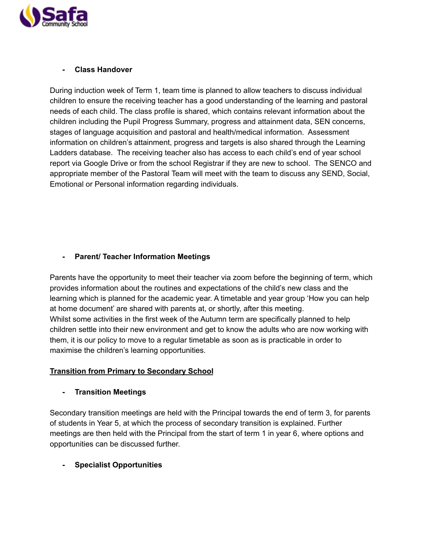

#### **- Class Handover**

During induction week of Term 1, team time is planned to allow teachers to discuss individual children to ensure the receiving teacher has a good understanding of the learning and pastoral needs of each child. The class profile is shared, which contains relevant information about the children including the Pupil Progress Summary, progress and attainment data, SEN concerns, stages of language acquisition and pastoral and health/medical information. Assessment information on children's attainment, progress and targets is also shared through the Learning Ladders database. The receiving teacher also has access to each child's end of year school report via Google Drive or from the school Registrar if they are new to school. The SENCO and appropriate member of the Pastoral Team will meet with the team to discuss any SEND, Social, Emotional or Personal information regarding individuals.

#### **- Parent/ Teacher Information Meetings**

Parents have the opportunity to meet their teacher via zoom before the beginning of term, which provides information about the routines and expectations of the child's new class and the learning which is planned for the academic year. A timetable and year group 'How you can help at home document' are shared with parents at, or shortly, after this meeting. Whilst some activities in the first week of the Autumn term are specifically planned to help children settle into their new environment and get to know the adults who are now working with them, it is our policy to move to a regular timetable as soon as is practicable in order to maximise the children's learning opportunities.

#### **Transition from Primary to Secondary School**

**- Transition Meetings**

Secondary transition meetings are held with the Principal towards the end of term 3, for parents of students in Year 5, at which the process of secondary transition is explained. Further meetings are then held with the Principal from the start of term 1 in year 6, where options and opportunities can be discussed further.

### **- Specialist Opportunities**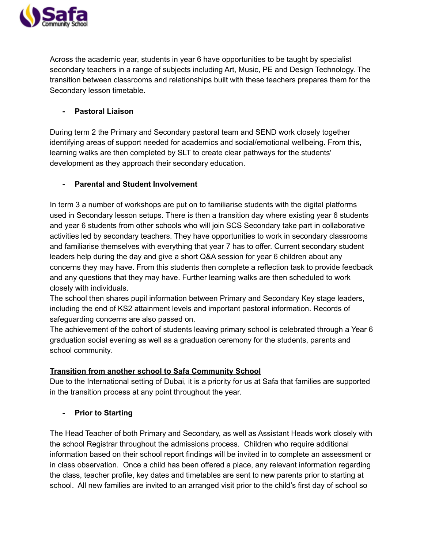

Across the academic year, students in year 6 have opportunities to be taught by specialist secondary teachers in a range of subjects including Art, Music, PE and Design Technology. The transition between classrooms and relationships built with these teachers prepares them for the Secondary lesson timetable.

### **- Pastoral Liaison**

During term 2 the Primary and Secondary pastoral team and SEND work closely together identifying areas of support needed for academics and social/emotional wellbeing. From this, learning walks are then completed by SLT to create clear pathways for the students' development as they approach their secondary education.

## **- Parental and Student Involvement**

In term 3 a number of workshops are put on to familiarise students with the digital platforms used in Secondary lesson setups. There is then a transition day where existing year 6 students and year 6 students from other schools who will join SCS Secondary take part in collaborative activities led by secondary teachers. They have opportunities to work in secondary classrooms and familiarise themselves with everything that year 7 has to offer. Current secondary student leaders help during the day and give a short Q&A session for year 6 children about any concerns they may have. From this students then complete a reflection task to provide feedback and any questions that they may have. Further learning walks are then scheduled to work closely with individuals.

The school then shares pupil information between Primary and Secondary Key stage leaders, including the end of KS2 attainment levels and important pastoral information. Records of safeguarding concerns are also passed on.

The achievement of the cohort of students leaving primary school is celebrated through a Year 6 graduation social evening as well as a graduation ceremony for the students, parents and school community.

# **Transition from another school to Safa Community School**

Due to the International setting of Dubai, it is a priority for us at Safa that families are supported in the transition process at any point throughout the year.

**- Prior to Starting**

The Head Teacher of both Primary and Secondary, as well as Assistant Heads work closely with the school Registrar throughout the admissions process. Children who require additional information based on their school report findings will be invited in to complete an assessment or in class observation. Once a child has been offered a place, any relevant information regarding the class, teacher profile, key dates and timetables are sent to new parents prior to starting at school. All new families are invited to an arranged visit prior to the child's first day of school so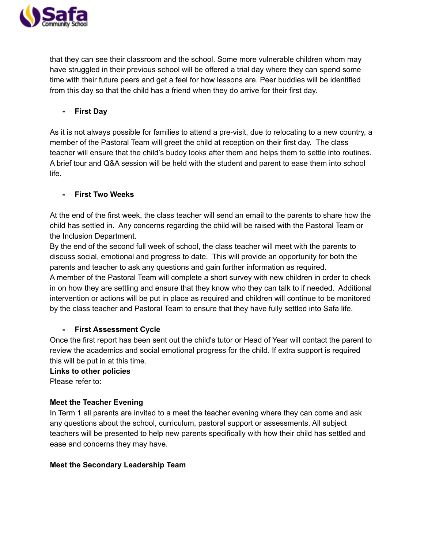

that they can see their classroom and the school. Some more vulnerable children whom may have struggled in their previous school will be offered a trial day where they can spend some time with their future peers and get a feel for how lessons are. Peer buddies will be identified from this day so that the child has a friend when they do arrive for their first day.

**- First Day**

As it is not always possible for families to attend a pre-visit, due to relocating to a new country, a member of the Pastoral Team will greet the child at reception on their first day. The class teacher will ensure that the child's buddy looks after them and helps them to settle into routines. A brief tour and Q&A session will be held with the student and parent to ease them into school life.

### **- First Two Weeks**

At the end of the first week, the class teacher will send an email to the parents to share how the child has settled in. Any concerns regarding the child will be raised with the Pastoral Team or the Inclusion Department.

By the end of the second full week of school, the class teacher will meet with the parents to discuss social, emotional and progress to date. This will provide an opportunity for both the parents and teacher to ask any questions and gain further information as required.

A member of the Pastoral Team will complete a short survey with new children in order to check in on how they are settling and ensure that they know who they can talk to if needed. Additional intervention or actions will be put in place as required and children will continue to be monitored by the class teacher and Pastoral Team to ensure that they have fully settled into Safa life.

### **- First Assessment Cycle**

Once the first report has been sent out the child's tutor or Head of Year will contact the parent to review the academics and social emotional progress for the child. If extra support is required this will be put in at this time.

### **Links to other policies**

Please refer to:

### **Meet the Teacher Evening**

In Term 1 all parents are invited to a meet the teacher evening where they can come and ask any questions about the school, curriculum, pastoral support or assessments. All subject teachers will be presented to help new parents specifically with how their child has settled and ease and concerns they may have.

### **Meet the Secondary Leadership Team**